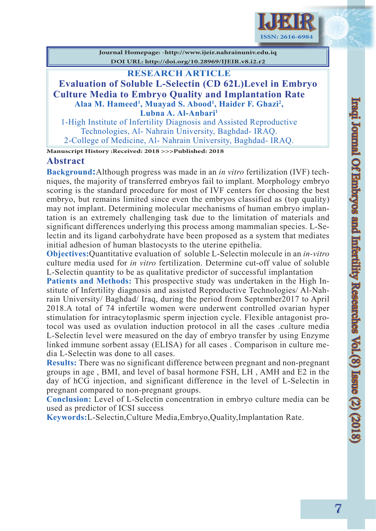

**Journal Homepage: -http://www.ijeir.nahrainuniv.edu.iq DOI URL: http://doi.org/10.28969/IJEIR.v8.i2.r2**

## **RESEARCH ARTICLE**

**Evaluation of Soluble L-Selectin (CD 62L)Level in Embryo Culture Media to Embryo Quality and Implantation Rate Alaa M. Hameed1 , Muayad S. Abood1 , Haider F. Ghazi2 , Lubna A. Al-Anbari1**

1-High Institute of Infertility Diagnosis and Assisted Reproductive Technologies, Al- Nahrain University, Baghdad- IRAQ. 2-College of Medicine, Al- Nahrain University, Baghdad- IRAQ.

**Manuscript History :Received: 2018 >>>Published: 2018**

### **Abstract**

**Background:**Although progress was made in an *in vitro* fertilization (IVF) techniques, the majority of transferred embryos fail to implant. Morphology embryo scoring is the standard procedure for most of IVF centers for choosing the best embryo, but remains limited since even the embryos classified as (top quality) may not implant. Determining molecular mechanisms of human embryo implantation is an extremely challenging task due to the limitation of materials and significant differences underlying this process among mammalian species. L-Selectin and its ligand carbohydrate have been proposed as a system that mediates initial adhesion of human blastocysts to the uterine epithelia.

**Objectives:**Quantitative evaluation of soluble L-Selectin molecule in an *in-vitro* culture media used for *in vitro* fertilization. Determine cut-off value of soluble L-Selectin quantity to be as qualitative predictor of successful implantation

**Patients and Methods:** This prospective study was undertaken in the High Institute of Infertility diagnosis and assisted Reproductive Technologies/ Al-Nahrain University/ Baghdad/ Iraq, during the period from September2017 to April 2018.A total of 74 infertile women were underwent controlled ovarian hyper stimulation for intracytoplasmic sperm injection cycle. Flexible antagonist protocol was used as ovulation induction protocol in all the cases .culture media L-Selectin level were measured on the day of embryo transfer by using Enzyme linked immune sorbent assay (ELISA) for all cases . Comparison in culture media L-Selectin was done to all cases.

**Results:** There was no significant difference between pregnant and non-pregnant groups in age , BMI, and level of basal hormone FSH, LH , AMH and E2 in the day of hCG injection, and significant difference in the level of L-Selectin in pregnant compared to non-pregnant groups.

**Conclusion:** Level of L-Selectin concentration in embryo culture media can be used as predictor of ICSI success

**Keywords:**L-Selectin,Culture Media,Embryo,Quality,Implantation Rate.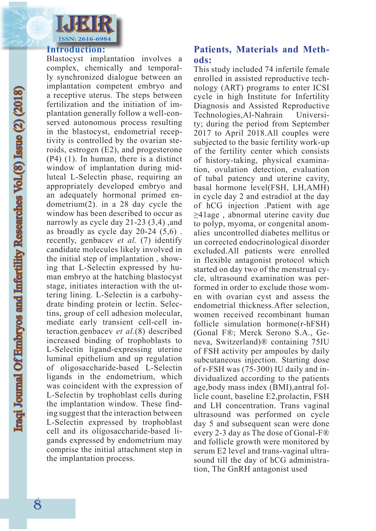

#### **Introduction:**

Blastocyst implantation involves a complex, chemically and temporally synchronized dialogue between an implantation competent embryo and a receptive uterus. The steps between fertilization and the initiation of implantation generally follow a well-conserved autonomous process resulting in the blastocyst, endometrial receptivity is controlled by the ovarian steroids, estrogen (E2), and progesterone (P4) (1). In human, there is a distinct window of implantation during midluteal L-Selectin phase, requiring an appropriately developed embryo and an adequately hormonal primed endometrium(2). in a 28 day cycle the window has been described to occur as narrowly as cycle day 21-23 (3,4) ,and as broadly as cycle day 20-24 (5,6) . recently, genbacev *et al*. (7) identify candidate molecules likely involved in the initial step of implantation , showing that L-Selectin expressed by human embryo at the hatching blastocyst stage, initiates interaction with the uttering lining. L-Selectin is a carbohydrate binding protein or lectin. Selectins, group of cell adhesion molecular, mediate early transient cell-cell interaction.genbacev *et al*.(8) described increased binding of trophoblasts to L-Selectin ligand-expressing uterine luminal epithelium and up regulation of oligosaccharide-based L-Selectin ligands in the endometrium, which was coincident with the expression of L-Selectin by trophoblast cells during the implantation window. These finding suggest that the interaction between L-Selectin expressed by trophoblast cell and its oligosaccharide-based ligands expressed by endometrium may comprise the initial attachment step in the implantation process.

# **Patients, Materials and Methods:**

This study included 74 infertile female enrolled in assisted reproductive technology (ART) programs to enter ICSI cycle in high Institute for Infertility Diagnosis and Assisted Reproductive Technologies,Al-Nahrain University; during the period from September 2017 to April 2018.All couples were subjected to the basic fertility work-up of the fertility center which consists of history-taking, physical examination, ovulation detection, evaluation of tubal patency and uterine cavity, basal hormone level(FSH, LH,AMH) in cycle day 2 and estradiol at the day of hCG injection .Patient with age ≥41age , abnormal uterine cavity due to polyp, myoma, or congenital anomalies uncontrolled diabetes mellitus or un corrected endocrinological disorder excluded.All patients were enrolled in flexible antagonist protocol which started on day two of the menstrual cycle, ultrasound examination was performed in order to exclude those women with ovarian cyst and assess the endometrial thickness.After selection, women received recombinant human follicle simulation hormone(r-hFSH) (Gonal F®; Merck Serono S.A., Geneva, Switzerland)® containing 75IU of FSH activity per ampoules by daily subcutaneous injection. Starting dose of r-FSH was (75-300) IU daily and individualized according to the patients age,body mass index (BMI),antral follicle count, baseline E2,prolactin, FSH and LH concentration. Trans vaginal ultrasound was performed on cycle day 5 and subsequent scan were done every 2-3 day as The dose of Gonal-F® and follicle growth were monitored by serum E2 level and trans-vaginal ultrasound till the day of hCG administration, The GnRH antagonist used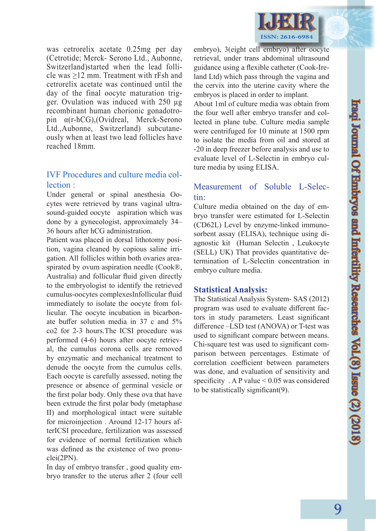

was cetrorelix acetate 0.25mg per day (Cetrotide; Merck- Serono Ltd., Aubonne, Switzerland)started when the lead follicle was ≥12 mm. Treatment with rFsh and cetrorelix acetate was continued until the day of the final oocyte maturation trigger. Ovulation was induced with 250 µg recombinant human chorionic gonadotropin α(r-hCG),(Ovidreal, Merck-Serono Ltd.,Aubonne, Switzerland) subcutaneously when at least two lead follicles have reached 18mm.

# IVF Procedures and culture media collection :

Under general or spinal anesthesia Oocytes were retrieved by trans vaginal ultrasound-guided oocyte aspiration which was done by a gynecologist, approximately 34– 36 hours after hCG administration.

Patient was placed in dorsal lithotomy position, vagina cleaned by copious saline irrigation. All follicles within both ovaries areaspirated by ovum aspiration needle (Cook®, Australia) and follicular fluid given directly to the embryologist to identify the retrieved cumulus-oocytes complexesInfollicular fluid immediately to isolate the oocyte from follicular. The oocyte incubation in bicarbonate buffer solution media in 37 c and 5% co2 for 2-3 hours.The ICSI procedure was performed (4-6) hours after oocyte retrieval, the cumulus corona cells are removed by enzymatic and mechanical treatment to denude the oocyte from the cumulus cells. Each oocyte is carefully assessed, noting the presence or absence of germinal vesicle or the first polar body. Only these ova that have been extrude the first polar body (metaphase II) and morphological intact were suitable for microinjection . Around 12-17 hours afterICSI procedure, fertilization was assessed for evidence of normal fertilization which was defined as the existence of two pronuclei(2PN).

In day of embryo transfer , good quality embryo transfer to the uterus after 2 (four cell

embryo), 3(eight cell embryo) after oocyte retrieval, under trans abdominal ultrasound guidance using a flexible catheter (Cook-Ireland Ltd) which pass through the vagina and the cervix into the uterine cavity where the embryos is placed in order to implant.

About 1ml of culture media was obtain from the four well after embryo transfer and collected in plane tube. Culture media sample were centrifuged for 10 minute at 1500 rpm to isolate the media from oil and stored at -20 in deep freezer before analysis and use to evaluate level of L-Selectin in embryo culture media by using ELISA.

## Measurement of Soluble L-Selectin:

Culture media obtained on the day of embryo transfer were estimated for L-Selectin (CD62L) Level by enzyme-linked immunosorbent assay (ELISA), technique using diagnostic kit (Human Selectin , Leukocyte (SELL) UK) That provides quantitative determination of L-Selectin concentration in embryo culture media.

#### **Statistical Analysis:**

The Statistical Analysis System- SAS (2012) program was used to evaluate different factors in study parameters. Least significant difference –LSD test (ANOVA) or T-test was used to significant compare between means. Chi-square test was used to significant comparison between percentages. Estimate of correlation coefficient between parameters was done, and evaluation of sensitivity and specificity  $. A P value < 0.05$  was considered to be statistically significant(9).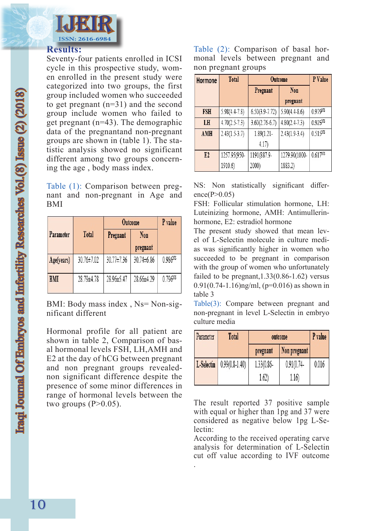

#### **Results:**

Seventy-four patients enrolled in ICSI cycle in this prospective study, women enrolled in the present study were categorized into two groups, the first group included women who succeeded to get pregnant (n=31) and the second group include women who failed to get pregnant (n=43). The demographic data of the pregnantand non-pregnant groups are shown in (table 1). The statistic analysis showed no significant different among two groups concerning the age , body mass index.

Table (1): Comparison between pregnant and non-pregnant in Age and BMI

|            |              |            | Outcome    | P value             |
|------------|--------------|------------|------------|---------------------|
| Parameter  | <b>Total</b> | Pregnant   | Non        |                     |
|            |              |            | pregnant   |                     |
| Age(years) | 30.76±7.02   | 30.77±7.36 | 30.74±6.86 | 0.986 <sup>NS</sup> |
|            |              |            |            |                     |
| <b>BMI</b> | 28.79±4.78   | 28.96±5.47 | 28.66±4.29 | 0.796Ns             |
|            |              |            |            |                     |

BMI: Body mass index , Ns= Non-significant different

Hormonal profile for all patient are shown in table 2, Comparison of basal hormonal levels FSH, LH,AMH and E2 at the day of hCG between pregnant and non pregnant groups revealednon significant difference despite the presence of some minor differences in range of hormonal levels between the two groups  $(P>0.05)$ .

Table (2): Comparison of basal hormonal levels between pregnant and non pregnant groups

| Hormone    | <b>Total</b>    | <b>Outcome</b>     |                 | P Value             |
|------------|-----------------|--------------------|-----------------|---------------------|
|            |                 | Pregnant           | Non             |                     |
|            |                 |                    | pregnant        |                     |
| <b>FSH</b> | $5.98(4.4-7.8)$ | $6.50(3.9 - 7.72)$ | $5.90(4.4-8.6)$ | 0.979Ns             |
| LH         | $4.70(2.5-7.3)$ | $3.60(2.76-6.7)$   | $4.80(2.4-7.3)$ | 0.925NS             |
| AMH        | $2.43(1.5-3.7)$ | 1.89(1.21-         | $2.43(1.9-3.4)$ | $0.515^{NS}$        |
|            |                 | 4.17)              |                 |                     |
| E2         | 1257.95(950-    | 1191(887.9-        | 1279.90(1000-   | 0.617 <sup>NS</sup> |
|            | 1910.6)         | 2000)              | 1883.2)         |                     |

NS: Non statistically significant difference( $P>0.05$ )

FSH: Follicular stimulation hormone, LH: Luteinizing hormone, AMH: Antimullerinhormone, E2: estradiol hormone

The present study showed that mean level of L-Selectin molecule in culture medias was significantly higher in women who succeeded to be pregnant in comparison with the group of women who unfortunately failed to be pregnant,  $1.33(0.86-1.62)$  versus 0.91(0.74-1.16)ng/ml, ( $p=0.016$ ) as shown in table 3

Table(3): Compare between pregnant and non-pregnant in level L-Selectin in embryo culture media

| Parameter  | Total            | outcome    |               | P value |
|------------|------------------|------------|---------------|---------|
|            |                  | pregnant   | Non pregnant  |         |
| L-Selectin | $0.99(0.8-1.40)$ | 1.33(0.86- | $0.91(0.74 -$ | 0.016   |
|            |                  | 1.62)      | 1.16)         |         |

The result reported 37 positive sample with equal or higher than 1pg and 37 were considered as negative below 1pg L-Selectin:

According to the received operating carve analysis for determination of L-Selectin cut off value according to IVF outcome

.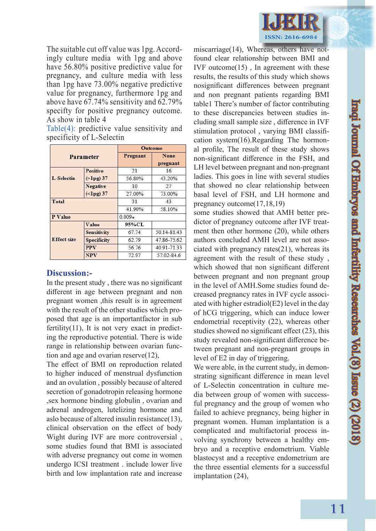

The suitable cut off value was 1pg. Accordingly culture media with 1pg and above have 56.80% positive predictive value for pregnancy, and culture media with less than 1pg have 73.00% negative predictive value for pregnancy, furthermore 1pg and above have 67.74% sensitivity and 62.79% specifty for positive pregnancy outcome. As show in table 4

Table(4): predictive value sensitivity and specificity of L-Selectin

| <b>Parameter</b>   |                    | Outcome  |             |  |
|--------------------|--------------------|----------|-------------|--|
|                    |                    | Pregnant | <b>None</b> |  |
|                    |                    |          | pregnant    |  |
|                    | <b>Positive</b>    | 21       | 16          |  |
| L-Selectin         | $(>\lambda)$ 37    | 56.80%   | 43.20%      |  |
|                    | <b>Negative</b>    | 10       | 27          |  |
|                    | $(\langle$ lpg) 37 | 27.00%   | 73.00%      |  |
| Total              |                    | 31       | 43          |  |
|                    |                    | 41.90%   | 58.10%      |  |
| P Value            |                    | $0.009*$ |             |  |
|                    | Value              | 95%CL    |             |  |
|                    | <b>Sensitivity</b> | 67.74    | 50.14-81.43 |  |
| <b>Effect size</b> | <b>Specificity</b> | 62.79    | 47.86-75.62 |  |
|                    | <b>PPV</b>         | 56.76    | 40.91-71.33 |  |
|                    | <b>NPV</b>         | 72.97    | 57.02-84.6  |  |

#### **Discussion:-**

In the present study , there was no significant different in age between pregnant and non pregnant women ,this result is in agreement with the result of the other studies which proposed that age is an importantfactor in sub fertility(11), It is not very exact in predicting the reproductive potential. There is wide range in relationship between ovarian function and age and ovarian reserve(12),

The effect of BMI on reproduction related to higher induced of menstrual dysfunction and an ovulation , possibly because of altered secretion of gonadotropin releasing hormone ,sex hormone binding globulin , ovarian and adrenal androgen, lutelizing hormone and aslo because of altered insulin resistance(13), clinical observation on the effect of body Wight during IVF are more controversial , some studies found that BMI is associated with adverse pregnancy out come in women undergo ICSI treatment . include lower live birth and low implantation rate and increase

miscarriage(14), Whereas, others have notfound clear relationship between BMI and IVF outcome $(15)$ , In agreement with these results, the results of this study which shows nosignificant differences between pregnant and non pregnant patients regarding BMI table1 There's number of factor contributing to these discrepancies between studies including small sample size , difference in IVF stimulation protocol , varying BMI classification system(16).Regarding The hormonal profile, The result of these study shows non-significant difference in the FSH, and LH level between pregnant and non-pregnant ladies. This goes in line with several studies that showed no clear relationship between basal level of FSH, and LH hormone and pregnancy outcome(17,18,19)

some studies showed that AMH better predictor of pregnancy outcome after IVF treatment then other hormone (20), while others authors concluded AMH level are not associated with pregnancy rates(21), whereas its agreement with the result of these study , which showed that non significant different between pregnant and non pregnant group in the level of AMH.Some studies found decreased pregnancy rates in IVF cycle associated with higher estradiol(E2) level in the day of hCG triggering, which can induce lower endometrial receptivity (22), whereas other studies showed no significant effect (23), this study revealed non-significant difference between pregnant and non-pregnant groups in level of E2 in day of triggering.

We were able, in the current study, in demonstrating significant difference in mean level of L-Selectin concentration in culture media between group of women with successful pregnancy and the group of women who failed to achieve pregnancy, being higher in pregnant women. Human implantation is a complicated and multifactorial process involving synchrony between a healthy embryo and a receptive endometrium. Viable blastocyst and a receptive endometrium are the three essential elements for a successful implantation (24),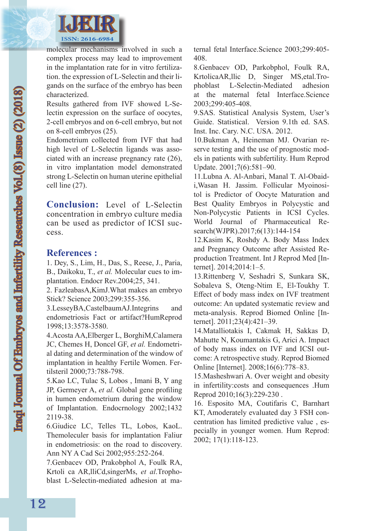

molecular mechanisms involved in such a complex process may lead to improvement in the implantation rate for in vitro fertilization. the expression of L-Selectin and their ligands on the surface of the embryo has been characterized.

Results gathered from IVF showed L-Selectin expression on the surface of oocytes, 2-cell embryos and on 6-cell embryo, but not on 8-cell embryos (25).

Endometrium collected from IVF that had high level of L-Selectin ligands was associated with an increase pregnancy rate (26), in vitro implantation model demonstrated strong L-Selectin on human uterine epithelial cell line (27).

**Conclusion:** Level of L-Selectin concentration in embryo culture media can be used as predictor of ICSI success.

### **References :**

1. Dey, S., Lim, H., Das, S., Reese, J., Paria, B., Daikoku, T., *et al.* Molecular cues to implantation. Endocr Rev.2004;25, 341.

2. FazleabasA,KimJ.What makes an embryo Stick? Science 2003;299:355-356.

3.LesseyBA,CastelbaumAJ.Integrins and endometriosis Fact or artifact?HumReprod 1998;13:3578-3580.

4.Acosta AA,Elberger L, BorghiM,Calamera JC, Chemes H, Doncel GF, *et al.* Endometrial dating and determination of the window of implantation in healthy Fertile Women. Fertilsteril 2000;73:788-798.

5.Kao LC, Tulac S, Lobos , Imani B, Y ang JP, Germeyer A, *et al.* Global gene profiling in humen endometrium during the window of Implantation. Endocrnology 2002;1432 2119-38.

6.Giudice LC, Telles TL, Lobos, KaoL. Themoleculer basis for implantation Faliur in endometriosis: on the road to discovery. Ann NY A Cad Sci 2002;955:252-264.

7.Genbacev OD, Prakobphol A, Foulk RA, Krtoli ca AR,lliCd,singerMs, *et al*.Trophoblast L-Selectin-mediated adhesion at maternal fetal Interface.Science 2003;299:405- 408.

8.Genbacev OD, Parkobphol, Foulk RA, KrtolicaAR,llic D, Singer MS,etal.Trophoblast L-Selectin-Mediated adhesion at the maternal fetal Interface.Science 2003;299:405-408.

9.SAS. Statistical Analysis System, User's Guide. Statistical. Version 9.1th ed. SAS. Inst. Inc. Cary. N.C. USA. 2012.

10.Bukman A, Heineman MJ. Ovarian reserve testing and the use of prognostic models in patients with subfertility. Hum Reprod Update. 2001;7(6):581–90.

11.Lubna A. Al-Anbari, Manal T. Al-Obaidi,Wasan H. Jassim. Follicular Myoinositol is Predictor of Oocyte Maturation and Best Quality Embryos in Polycystic and Non-Polycystic Patients in ICSI Cycles. World Journal of Pharmaceutical Research(WJPR).2017;6(13):144-154

12.Kasim K, Roshdy A. Body Mass Index and Pregnancy Outcome after Assisted Reproduction Treatment. Int J Reprod Med [Internet]. 2014;2014:1–5.

13.Rittenberg V, Seshadri S, Sunkara SK, Sobaleva S, Oteng-Ntim E, El-Toukhy T. Effect of body mass index on IVF treatment outcome: An updated systematic review and meta-analysis. Reprod Biomed Online [Internet]. 2011;23(4):421–39.

14.Matalliotakis I, Cakmak H, Sakkas D, Mahutte N, Koumantakis G, Arici A. Impact of body mass index on IVF and ICSI outcome: A retrospective study. Reprod Biomed Online [Internet]. 2008;16(6):778–83.

15.Masheshwari A. Over weight and obesity in infertility:costs and consequences .Hum Reprod 2010;16(3):229-230 .

16. Esposito MA, Coutifaris C, Barnhart KT, Amoderately evaluated day 3 FSH concentration has limited predictive value , especially in younger women. Hum Reprod: 2002; 17(1):118-123.